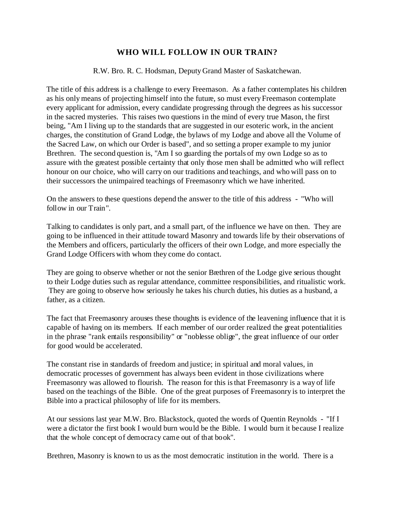## **WHO WILL FOLLOW IN OUR TRAIN?**

R.W. Bro. R. C. Hodsman, Deputy Grand Master of Saskatchewan.

The title of this address is a challenge to every Freemason. As a father contemplates his children as his only means of projecting himself into the future, so must every Freemason contemplate every applicant for admission, every candidate progressing through the degrees as his successor in the sacred mysteries. This raises two questions in the mind of every true Mason, the first being, "Am I living up to the standards that are suggested in our esoteric work, in the ancient charges, the constitution of Grand Lodge, the bylaws of my Lodge and above all the Volume of the Sacred Law, on which our Order is based", and so setting a proper example to my junior Brethren. The second question is, "Am I so guarding the portals of my own Lodge so as to assure with the greatest possible certainty that only those men shall be admitted who will reflect honour on our choice, who will carry on our traditions and teachings, and who will pass on to their successors the unimpaired teachings of Freemasonry which we have inherited.

On the answers to these questions depend the answer to the title of this address - "Who will follow in our Train".

Talking to candidates is only part, and a small part, of the influence we have on then. They are going to be influenced in their attitude toward Masonry and towards life by their observations of the Members and officers, particularly the officers of their own Lodge, and more especially the Grand Lodge Officers with whom they come do contact.

They are going to observe whether or not the senior Brethren of the Lodge give serious thought to their Lodge duties such as regular attendance, committee responsibilities, and ritualistic work. They are going to observe how seriously he takes his church duties, his duties as a husband, a father, as a citizen.

The fact that Freemasonry arouses these thoughts is evidence of the leavening influence that it is capable of having on its members. If each member of our order realized the great potentialities in the phrase "rank entails responsibility" or "noblesse oblige", the great influence of our order for good would be accelerated.

The constant rise in standards of freedom and justice; in spiritual and moral values, in democratic processes of government has always been evident in those civilizations where Freemasonry was allowed to flourish. The reason for this is that Freemasonry is a way of life based on the teachings of the Bible. One of the great purposes of Freemasonry is to interpret the Bible into a practical philosophy of life for its members.

At our sessions last year M.W. Bro. Blackstock, quoted the words of Quentin Reynolds - "If I were a dictator the first book I would burn would be the Bible. I would burn it because I realize that the whole concept of democracy came out of that book".

Brethren, Masonry is known to us as the most democratic institution in the world. There is a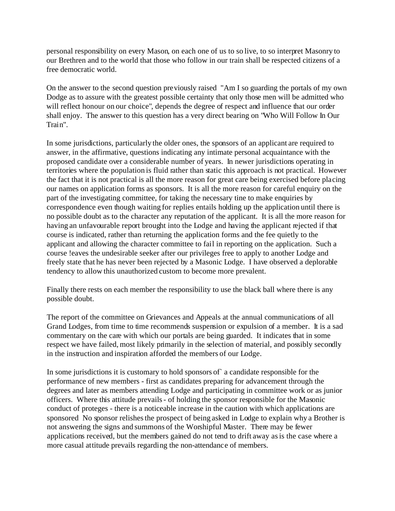personal responsibility on every Mason, on each one of us to so live, to so interpret Masonry to our Brethren and to the world that those who follow in our train shall be respected citizens of a free democratic world.

On the answer to the second question previously raised "Am I so guarding the portals of my own Dodge as to assure with the greatest possible certainty that only those men will be admitted who will reflect honour on our choice", depends the degree of respect and influence that our order shall enjoy. The answer to this question has a very direct bearing on "Who Will Follow In Our Train".

In some jurisdictions, particularly the older ones, the sponsors of an applicant are required to answer, in the affirmative, questions indicating any intimate personal acquaintance with the proposed candidate over a considerable number of years. In newer jurisdictions operating in territories where the population is fluid rather than static this approach is not practical. However the fact that it is not practical is all the more reason for great care being exercised before placing our names on application forms as sponsors. It is all the more reason for careful enquiry on the part of the investigating committee, for taking the necessary tine to make enquiries by correspondence even though waiting for replies entails holding up the application until there is no possible doubt as to the character any reputation of the applicant. It is all the more reason for having an unfavourable report brought into the Lodge and having the applicant rejected if that course is indicated, rather than returning the application forms and the fee quietly to the applicant and allowing the character committee to fail in reporting on the application. Such a course !eaves the undesirable seeker after our privileges free to apply to another Lodge and freely state that he has never been rejected by a Masonic Lodge. I have observed a deplorable tendency to allow this unauthorized custom to become more prevalent.

Finally there rests on each member the responsibility to use the black ball where there is any possible doubt.

The report of the committee on Grievances and Appeals at the annual communications of all Grand Lodges, from time to time recommends suspension or expulsion of a member. It is a sad commentary on the care with which our portals are being guarded. It indicates that in some respect we have failed, most likely primarily in the selection of material, and possibly secondly in the instruction and inspiration afforded the members of our Lodge.

In some jurisdictions it is customary to hold sponsors of a candidate responsible for the performance of new members - first as candidates preparing for advancement through the degrees and later as members attending Lodge and participating in committee work or as junior officers. Where this attitude prevails - of holding the sponsor responsible for the Masonic conduct of proteges - there is a noticeable increase in the caution with which applications are sponsored No sponsor relishes the prospect of being asked in Lodge to explain why a Brother is not answering the signs and summons of the Worshipful Master. There may be fewer applications received, but the members gained do not tend to drift away as is the case where a more casual attitude prevails regarding the non-attendance of members.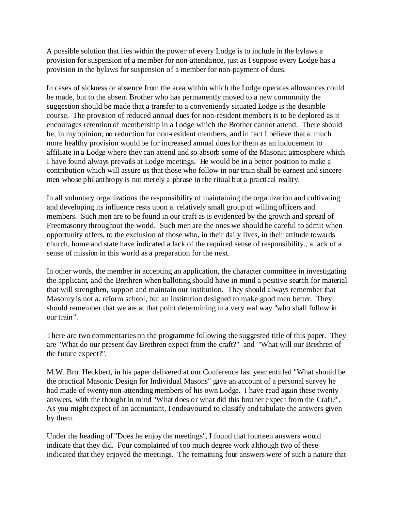A possible solution that lies within the power of every Lodge is to include in the bylaws a provision for suspension of a member for non-attendance, just as I suppose every Lodge has a provision in the bylaws for suspension of a member for non-payment of dues.

In cases of sickness or absence from the area within which the Lodge operates allowances could be made, but to the absent Brother who has permanently moved to a new community the suggestion should be made that a transfer to a conveniently situated Lodge is the desirable course. The provision of reduced annual dues for non-resident members is to be deplored as it encourages retention of membership in a Lodge which the Brother cannot attend. There should be, in my opinion, no reduction for non-resident members, and in fact I believe that a. much more healthy provision would be for increased annual dues for them as an inducement to affiliate in a Lodge where they can attend and so absorb some of the Masonic atmosphere which I have found always prevails at Lodge meetings. He would be in a better position to make a contribution which will assure us that those who follow in our train shall be earnest and sincere men whose philanthropy is not merely a phrase in the ritual but a practical reality.

In all voluntary organizations the responsibility of maintaining the organization and cultivating and developing its influence rests upon a. relatively small group of willing officers and members. Such men are to be found in our craft as is evidenced by the growth and spread of Freemasonry throughout the world. Such men are the ones we should be careful to admit when opportunity offers, to the exclusion of those who, in their daily lives, in their attitude towards church, home and state have indicated a lack of the required sense of responsibility., a lack of a sense of mission in this world as a preparation for the next.

In other words, the member in accepting an application, the character committee in investigating the applicant, and the Brethren when balloting should have in mind a positive search for material that will strengthen, support and maintain our institution. They should always remember that Masonry is not a. reform school, but an institution designed to make good men better. They should remember that we are at that point determining in a very real way "who shall follow in our train".

There are two commentaries on the programme following the suggested title of this paper. They are "What do our present day Brethren expect from the craft?" and "What will our Brethren of the future expect?".

M.W. Bro. Heckbert, in his paper delivered at our Conference last year entitled "What should be the practical Masonic Design for Individual Masons" gave an account of a personal survey he had made of twenty non-attending members of his own Lodge. I have read again these twenty answers, with the thought in mind "What does or what did this brother expect from the Craft?". As you might expect of an accountant, I endeavoured to classify and tabulate the answers given by them.

Under the heading of "Does he enjoy the meetings", I found that fourteen answers would indicate that they did. Four complained of too much degree work although two of these indicated that they enjoyed the meetings. The remaining four answers were of such a nature that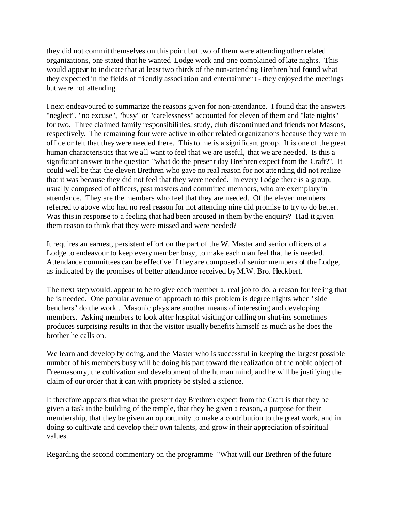they did not commit themselves on this point but two of them were attending other related organizations, one stated that he wanted Lodge work and one complained of late nights. This would appear to indicate that at least two thirds of the non-attending Brethren had found what they expected in the fields of friendly association and entertainment - they enjoyed the meetings but were not attending.

I next endeavoured to summarize the reasons given for non-attendance. I found that the answers "neglect", "no excuse", "busy" or "carelessness" accounted for eleven of them and "late nights" for two. Three claimed family responsibilities, study, club discontinued and friends not Masons, respectively. The remaining four were active in other related organizations because they were in office or felt that they were needed there. This to me is a significant group. It is one of the great human characteristics that we all want to feel that we are useful, that we are needed. Is this a significant answer to the question "what do the present day Brethren expect from the Craft?". It could well be that the eleven Brethren who gave no real reason for not attending did not realize that it was because they did not feel that they were needed. In every Lodge there is a group, usually composed of officers, past masters and committee members, who are exemplary in attendance. They are the members who feel that they are needed. Of the eleven members referred to above who had no real reason for not attending nine did promise to try to do better. Was this in response to a feeling that had been aroused in them by the enquiry? Had it given them reason to think that they were missed and were needed?

It requires an earnest, persistent effort on the part of the W. Master and senior officers of a Lodge to endeavour to keep every member busy, to make each man feel that he is needed. Attendance committees can be effective if they are composed of senior members of the Lodge, as indicated by the promises of better attendance received by M.W. Bro. Heckbert.

The next step would. appear to be to give each member a. real job to do, a reason for feeling that he is needed. One popular avenue of approach to this problem is degree nights when "side benchers" do the work.. Masonic plays are another means of interesting and developing members. Asking members to look after hospital visiting or calling on shut-ins sometimes produces surprising results in that the visitor usually benefits himself as much as he does the brother he calls on.

We learn and develop by doing, and the Master who is successful in keeping the largest possible number of his members busy will be doing his part toward the realization of the noble object of Freemasonry, the cultivation and development of the human mind, and he will be justifying the claim of our order that it can with propriety be styled a science.

It therefore appears that what the present day Brethren expect from the Craft is that they be given a task in the building of the temple, that they be given a reason, a purpose for their membership, that they be given an opportunity to make a contribution to the great work, and in doing so cultivate and develop their own talents, and grow in their appreciation of spiritual values.

Regarding the second commentary on the programme "What will our Brethren of the future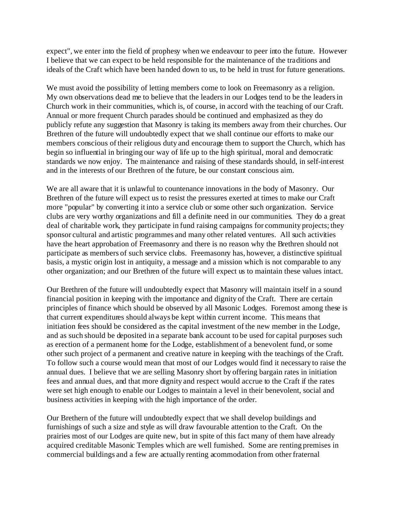expect", we enter into the field of prophesy when we endeavour to peer into the future. However I believe that we can expect to be held responsible for the maintenance of the traditions and ideals of the Craft which have been handed down to us, to be held in trust for future generations.

We must avoid the possibility of letting members come to look on Freemasonry as a religion. My own observations dead me to believe that the leaders in our Lodges tend to be the leaders in Church work in their communities, which is, of course, in accord with the teaching of our Craft. Annual or more frequent Church parades should be continued and emphasized as they do publicly refute any suggestion that Masonry is taking its members away from their churches. Our Brethren of the future will undoubtedly expect that we shall continue our efforts to make our members conscious of their religious duty and encourage them to support the Church, which has begin so influential in bringing our way of life up to the high spiritual, moral and democratic standards we now enjoy. The maintenance and raising of these standards should, in self-interest and in the interests of our Brethren of the future, be our constant conscious aim.

We are all aware that it is unlawful to countenance innovations in the body of Masonry. Our Brethren of the future will expect us to resist the pressures exerted at times to make our Craft more "popular" by converting it into a service club or some other such organization. Service clubs are very worthy organizations and fill a definite need in our communities. They do a great deal of charitable work, they participate in fund raising campaigns for community projects; they sponsor cultural and artistic programmes and many other related ventures. All such activities have the heart approbation of Freemasonry and there is no reason why the Brethren should not participate as members of such service clubs. Freemasonry has, however, a distinctive spiritual basis, a mystic origin lost in antiquity, a message and a mission which is not comparable to any other organization; and our Brethren of the future will expect us to maintain these values intact.

Our Brethren of the future will undoubtedly expect that Masonry will maintain itself in a sound financial position in keeping with the importance and dignity of the Craft. There are certain principles of finance which should be observed by all Masonic Lodges. Foremost among these is that current expenditures should always be kept within current income. This means that initiation fees should be considered as the capital investment of the new member in the Lodge, and as such should be deposited in a separate bank account to be used for capital purposes such as erection of a permanent home for the Lodge, establishment of a benevolent fund, or some other such project of a permanent and creative nature in keeping with the teachings of the Craft. To follow such a course would mean that most of our Lodges would find it necessary to raise the annual dues. I believe that we are selling Masonry short by offering bargain rates in initiation fees and annual dues, and that more dignity and respect would accrue to the Craft if the rates were set high enough to enable our Lodges to maintain a level in their benevolent, social and business activities in keeping with the high importance of the order.

Our Brethern of the future will undoubtedly expect that we shall develop buildings and furnishings of such a size and style as will draw favourable attention to the Craft. On the prairies most of our Lodges are quite new, but in spite of this fact many of them have already acquired creditable Masonic Temples which are well furnished. Some are renting premises in commercial buildings and a few are actually renting acommodation from other fraternal